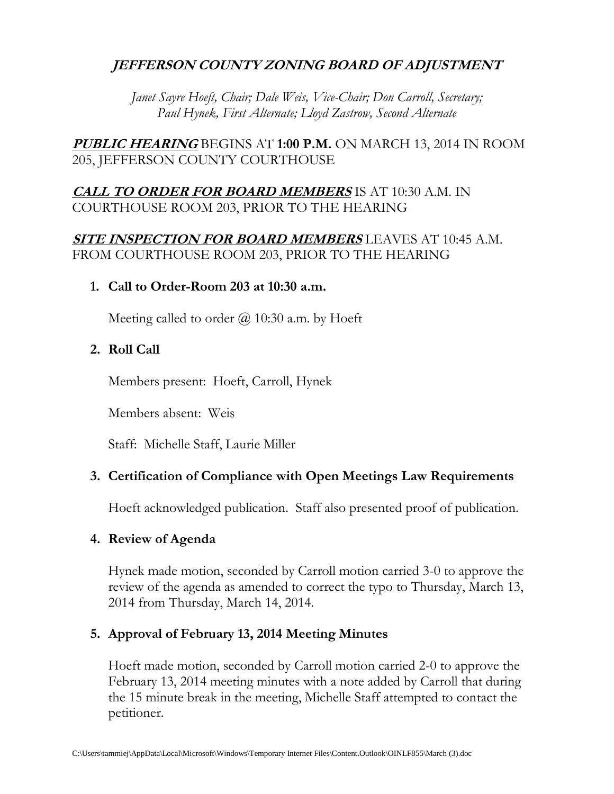### **JEFFERSON COUNTY ZONING BOARD OF ADJUSTMENT**

*Janet Sayre Hoeft, Chair; Dale Weis, Vice-Chair; Don Carroll, Secretary; Paul Hynek, First Alternate; Lloyd Zastrow, Second Alternate*

**PUBLIC HEARING** BEGINS AT **1:00 P.M.** ON MARCH 13, 2014 IN ROOM 205, JEFFERSON COUNTY COURTHOUSE

### **CALL TO ORDER FOR BOARD MEMBERS** IS AT 10:30 A.M. IN COURTHOUSE ROOM 203, PRIOR TO THE HEARING

#### **SITE INSPECTION FOR BOARD MEMBERS** LEAVES AT 10:45 A.M. FROM COURTHOUSE ROOM 203, PRIOR TO THE HEARING

#### **1. Call to Order-Room 203 at 10:30 a.m.**

Meeting called to order  $\omega$  10:30 a.m. by Hoeft

#### **2. Roll Call**

Members present: Hoeft, Carroll, Hynek

Members absent: Weis

Staff: Michelle Staff, Laurie Miller

#### **3. Certification of Compliance with Open Meetings Law Requirements**

Hoeft acknowledged publication. Staff also presented proof of publication.

#### **4. Review of Agenda**

Hynek made motion, seconded by Carroll motion carried 3-0 to approve the review of the agenda as amended to correct the typo to Thursday, March 13, 2014 from Thursday, March 14, 2014.

#### **5. Approval of February 13, 2014 Meeting Minutes**

Hoeft made motion, seconded by Carroll motion carried 2-0 to approve the February 13, 2014 meeting minutes with a note added by Carroll that during the 15 minute break in the meeting, Michelle Staff attempted to contact the petitioner.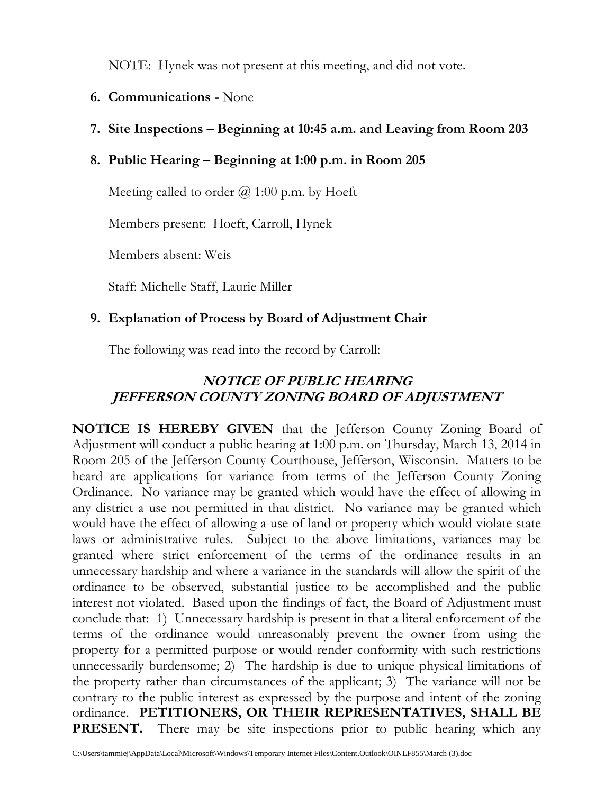NOTE: Hynek was not present at this meeting, and did not vote.

- **6. Communications -** None
- **7. Site Inspections – Beginning at 10:45 a.m. and Leaving from Room 203**

## **8. Public Hearing – Beginning at 1:00 p.m. in Room 205**

Meeting called to order  $\omega$  1:00 p.m. by Hoeft

Members present: Hoeft, Carroll, Hynek

Members absent: Weis

Staff: Michelle Staff, Laurie Miller

### **9. Explanation of Process by Board of Adjustment Chair**

The following was read into the record by Carroll:

## **NOTICE OF PUBLIC HEARING JEFFERSON COUNTY ZONING BOARD OF ADJUSTMENT**

**NOTICE IS HEREBY GIVEN** that the Jefferson County Zoning Board of Adjustment will conduct a public hearing at 1:00 p.m. on Thursday, March 13, 2014 in Room 205 of the Jefferson County Courthouse, Jefferson, Wisconsin. Matters to be heard are applications for variance from terms of the Jefferson County Zoning Ordinance. No variance may be granted which would have the effect of allowing in any district a use not permitted in that district. No variance may be granted which would have the effect of allowing a use of land or property which would violate state laws or administrative rules. Subject to the above limitations, variances may be granted where strict enforcement of the terms of the ordinance results in an unnecessary hardship and where a variance in the standards will allow the spirit of the ordinance to be observed, substantial justice to be accomplished and the public interest not violated. Based upon the findings of fact, the Board of Adjustment must conclude that: 1) Unnecessary hardship is present in that a literal enforcement of the terms of the ordinance would unreasonably prevent the owner from using the property for a permitted purpose or would render conformity with such restrictions unnecessarily burdensome; 2) The hardship is due to unique physical limitations of the property rather than circumstances of the applicant; 3) The variance will not be contrary to the public interest as expressed by the purpose and intent of the zoning ordinance. **PETITIONERS, OR THEIR REPRESENTATIVES, SHALL BE PRESENT.** There may be site inspections prior to public hearing which any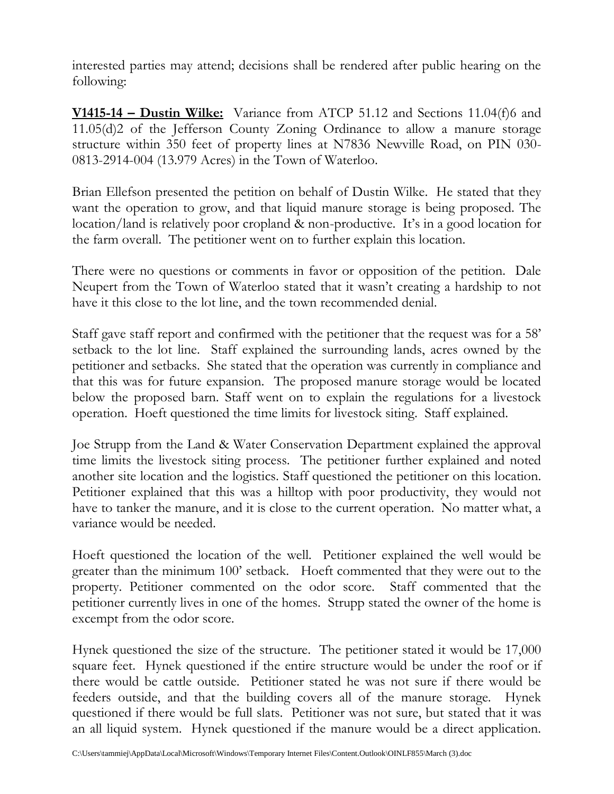interested parties may attend; decisions shall be rendered after public hearing on the following:

**V1415-14 – Dustin Wilke:** Variance from ATCP 51.12 and Sections 11.04(f)6 and 11.05(d)2 of the Jefferson County Zoning Ordinance to allow a manure storage structure within 350 feet of property lines at N7836 Newville Road, on PIN 030- 0813-2914-004 (13.979 Acres) in the Town of Waterloo.

Brian Ellefson presented the petition on behalf of Dustin Wilke. He stated that they want the operation to grow, and that liquid manure storage is being proposed. The location/land is relatively poor cropland & non-productive. It's in a good location for the farm overall. The petitioner went on to further explain this location.

There were no questions or comments in favor or opposition of the petition. Dale Neupert from the Town of Waterloo stated that it wasn't creating a hardship to not have it this close to the lot line, and the town recommended denial.

Staff gave staff report and confirmed with the petitioner that the request was for a 58' setback to the lot line. Staff explained the surrounding lands, acres owned by the petitioner and setbacks. She stated that the operation was currently in compliance and that this was for future expansion. The proposed manure storage would be located below the proposed barn. Staff went on to explain the regulations for a livestock operation. Hoeft questioned the time limits for livestock siting. Staff explained.

Joe Strupp from the Land & Water Conservation Department explained the approval time limits the livestock siting process. The petitioner further explained and noted another site location and the logistics. Staff questioned the petitioner on this location. Petitioner explained that this was a hilltop with poor productivity, they would not have to tanker the manure, and it is close to the current operation. No matter what, a variance would be needed.

Hoeft questioned the location of the well. Petitioner explained the well would be greater than the minimum 100' setback. Hoeft commented that they were out to the property. Petitioner commented on the odor score. Staff commented that the petitioner currently lives in one of the homes. Strupp stated the owner of the home is excempt from the odor score.

Hynek questioned the size of the structure. The petitioner stated it would be 17,000 square feet. Hynek questioned if the entire structure would be under the roof or if there would be cattle outside. Petitioner stated he was not sure if there would be feeders outside, and that the building covers all of the manure storage. Hynek questioned if there would be full slats. Petitioner was not sure, but stated that it was an all liquid system. Hynek questioned if the manure would be a direct application.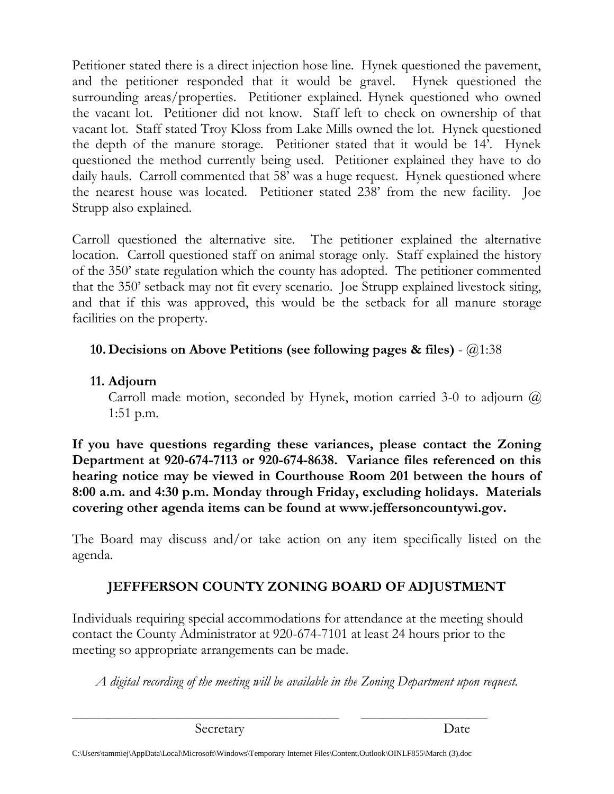Petitioner stated there is a direct injection hose line. Hynek questioned the pavement, and the petitioner responded that it would be gravel. Hynek questioned the surrounding areas/properties. Petitioner explained. Hynek questioned who owned the vacant lot. Petitioner did not know. Staff left to check on ownership of that vacant lot. Staff stated Troy Kloss from Lake Mills owned the lot. Hynek questioned the depth of the manure storage. Petitioner stated that it would be 14'. Hynek questioned the method currently being used. Petitioner explained they have to do daily hauls. Carroll commented that 58' was a huge request. Hynek questioned where the nearest house was located. Petitioner stated 238' from the new facility. Joe Strupp also explained.

Carroll questioned the alternative site. The petitioner explained the alternative location. Carroll questioned staff on animal storage only. Staff explained the history of the 350' state regulation which the county has adopted. The petitioner commented that the 350' setback may not fit every scenario. Joe Strupp explained livestock siting, and that if this was approved, this would be the setback for all manure storage facilities on the property.

## **10. Decisions on Above Petitions (see following pages & files)** - @1:38

## **11. Adjourn**

Carroll made motion, seconded by Hynek, motion carried 3-0 to adjourn  $\omega$ 1:51 p.m.

**If you have questions regarding these variances, please contact the Zoning Department at 920-674-7113 or 920-674-8638. Variance files referenced on this hearing notice may be viewed in Courthouse Room 201 between the hours of 8:00 a.m. and 4:30 p.m. Monday through Friday, excluding holidays. Materials covering other agenda items can be found at www.jeffersoncountywi.gov.**

The Board may discuss and/or take action on any item specifically listed on the agenda.

# **JEFFFERSON COUNTY ZONING BOARD OF ADJUSTMENT**

Individuals requiring special accommodations for attendance at the meeting should contact the County Administrator at 920-674-7101 at least 24 hours prior to the meeting so appropriate arrangements can be made.

*A digital recording of the meeting will be available in the Zoning Department upon request.*

Secretary Date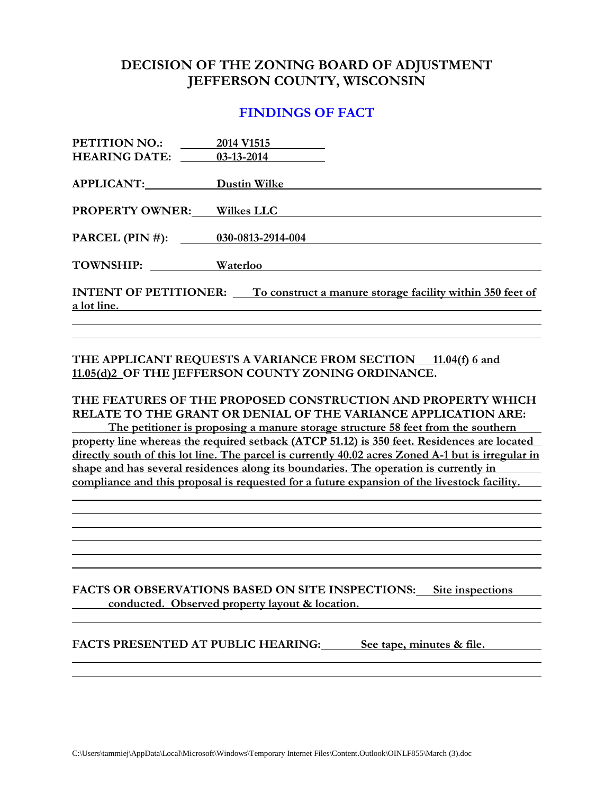#### **DECISION OF THE ZONING BOARD OF ADJUSTMENT JEFFERSON COUNTY, WISCONSIN**

#### **FINDINGS OF FACT**

| <b>PETITION NO.:</b>              | 2014 V1515                                                                             |
|-----------------------------------|----------------------------------------------------------------------------------------|
| <b>HEARING DATE:</b>              | $03-13-2014$                                                                           |
|                                   |                                                                                        |
| APPLICANT:                        | Dustin Wilke                                                                           |
|                                   |                                                                                        |
| <b>PROPERTY OWNER:</b>            | <b>Wilkes LLC</b>                                                                      |
|                                   |                                                                                        |
| PARCEL (PIN #): 030-0813-2914-004 |                                                                                        |
|                                   |                                                                                        |
| TOWNSHIP:                         | Waterloo                                                                               |
|                                   |                                                                                        |
|                                   | <b>INTENT OF PETITIONER:</b> To construct a manure storage facility within 350 feet of |
| a lot line.                       |                                                                                        |
|                                   |                                                                                        |

#### THE APPLICANT REQUESTS A VARIANCE FROM SECTION 11.04(f) 6 and **11.05(d)2 OF THE JEFFERSON COUNTY ZONING ORDINANCE.**

**THE FEATURES OF THE PROPOSED CONSTRUCTION AND PROPERTY WHICH RELATE TO THE GRANT OR DENIAL OF THE VARIANCE APPLICATION ARE: The petitioner is proposing a manure storage structure 58 feet from the southern property line whereas the required setback (ATCP 51.12) is 350 feet. Residences are located directly south of this lot line. The parcel is currently 40.02 acres Zoned A-1 but is irregular in shape and has several residences along its boundaries. The operation is currently in compliance and this proposal is requested for a future expansion of the livestock facility.** 

**FACTS OR OBSERVATIONS BASED ON SITE INSPECTIONS: Site inspections conducted. Observed property layout & location.**

**FACTS PRESENTED AT PUBLIC HEARING: See tape, minutes & file.**